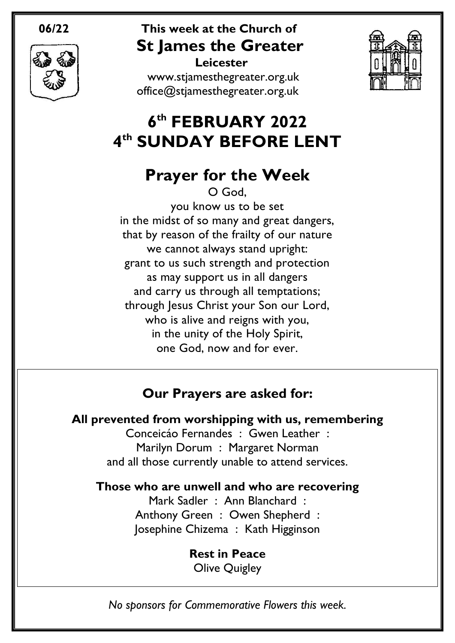

### **06/22 This week at the Church of St James the Greater Leicester**

[www.stjamesthegreater.org.uk](http://www.stjamesthegreater.org.uk/) [office@stjamesthegreater.org.uk](mailto:office@stjamesthegreater.org.uk)



# **6 th FEBRUARY 2022 4 th SUNDAY BEFORE LENT**

# **Prayer for the Week**

O God, you know us to be set in the midst of so many and great dangers, that by reason of the frailty of our nature we cannot always stand upright: grant to us such strength and protection as may support us in all dangers and carry us through all temptations; through Jesus Christ your Son our Lord, who is alive and reigns with you, in the unity of the Holy Spirit, one God, now and for ever.

## **Our Prayers are asked for:**

**All prevented from worshipping with us, remembering**

Conceicáo Fernandes : Gwen Leather : Marilyn Dorum : Margaret Norman and all those currently unable to attend services.

**Those who are unwell and who are recovering**

Mark Sadler : Ann Blanchard : Anthony Green : Owen Shepherd : Josephine Chizema : Kath Higginson

> **Rest in Peace** Olive Quigley

*No sponsors for Commemorative Flowers this week.*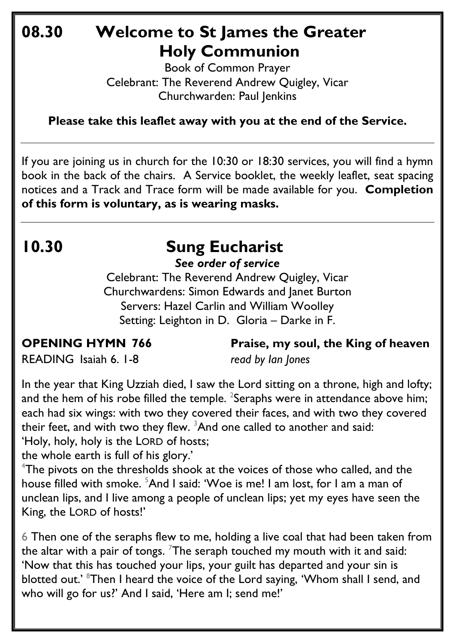# **08.30 Welcome to St James the Greater Holy Communion**

Book of Common Prayer Celebrant: The Reverend Andrew Quigley, Vicar Churchwarden: Paul Jenkins

**Please take this leaflet away with you at the end of the Service.**

If you are joining us in church for the 10:30 or 18:30 services, you will find a hymn book in the back of the chairs. A Service booklet, the weekly leaflet, seat spacing notices and a Track and Trace form will be made available for you. **Completion of this form is voluntary, as is wearing masks.**

# **10.30 Sung Eucharist**

*See order of service*

Celebrant: The Reverend Andrew Quigley, Vicar Churchwardens: Simon Edwards and Janet Burton Servers: Hazel Carlin and William Woolley Setting: Leighton in D. Gloria – Darke in F.

**OPENING HYMN 766 Praise, my soul, the King of heaven**

READING Isaiah 6. 1-8 *read by Ian Jones*

In the year that King Uzziah died, I saw the Lord sitting on a throne, high and lofty; and the hem of his robe filled the temple.  $^{2}$ Seraphs were in attendance above him; each had six wings: with two they covered their faces, and with two they covered their feet, and with two they flew.  $3$ And one called to another and said: 'Holy, holy, holy is the LORD of hosts;

the whole earth is full of his glory.'

<sup>4</sup>The pivots on the thresholds shook at the voices of those who called, and the house filled with smoke. <sup>5</sup>And I said: 'Woe is me! I am lost, for I am a man of unclean lips, and I live among a people of unclean lips; yet my eyes have seen the King, the LORD of hosts!'

6 Then one of the seraphs flew to me, holding a live coal that had been taken from the altar with a pair of tongs. <sup>7</sup>The seraph touched my mouth with it and said: 'Now that this has touched your lips, your guilt has departed and your sin is blotted out.' <sup>8</sup>Then I heard the voice of the Lord saying, 'Whom shall I send, and who will go for us?' And I said, 'Here am I; send me!'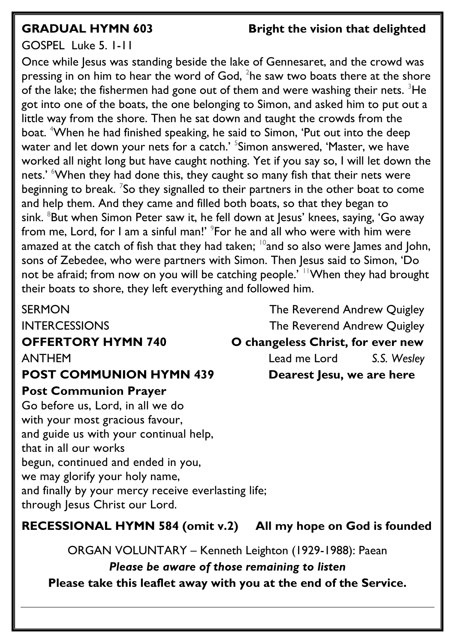### **GRADUAL HYMN 603 Bright the vision that delighted**

### GOSPEL Luke 5. 1-11

Once while Jesus was standing beside the lake of Gennesaret, and the crowd was pressing in on him to hear the word of God,  $^2$ he saw two boats there at the shore of the lake; the fishermen had gone out of them and were washing their nets.  $3$ He got into one of the boats, the one belonging to Simon, and asked him to put out a little way from the shore. Then he sat down and taught the crowds from the boat. <sup>4</sup>When he had finished speaking, he said to Simon, 'Put out into the deep water and let down your nets for a catch.' <sup>5</sup>Simon answered, 'Master, we have worked all night long but have caught nothing. Yet if you say so, I will let down the nets.' When they had done this, they caught so many fish that their nets were beginning to break.  $\frac{7}{5}$ o they signalled to their partners in the other boat to come and help them. And they came and filled both boats, so that they began to sink.  $8$ But when Simon Peter saw it, he fell down at Jesus' knees, saying, 'Go away from me, Lord, for I am a sinful man!' <sup>9</sup>For he and all who were with him were amazed at the catch of fish that they had taken:  $10^{\circ}$  and so also were lames and John, sons of Zebedee, who were partners with Simon. Then Jesus said to Simon, 'Do not be afraid; from now on you will be catching people.<sup>'</sup> <sup>11</sup>When they had brought their boats to shore, they left everything and followed him.

### **POST COMMUNION HYMN 439 Dearest Jesu, we are here**

### **Post Communion Prayer**

Go before us, Lord, in all we do with your most gracious favour, and guide us with your continual help, that in all our works begun, continued and ended in you, we may glorify your holy name, and finally by your mercy receive everlasting life; through Jesus Christ our Lord.

SERMON GERMON The Reverend Andrew Quigley INTERCESSIONS The Reverend Andrew Quigley **OFFERTORY HYMN 740 O changeless Christ, for ever new**  ANTHEMLead me Lord *S.S. Wesley*

### **RECESSIONAL HYMN 584 (omit v.2) All my hope on God is founded**

ORGAN VOLUNTARY – Kenneth Leighton (1929-1988): Paean

*Please be aware of those remaining to listen* **Please take this leaflet away with you at the end of the Service.**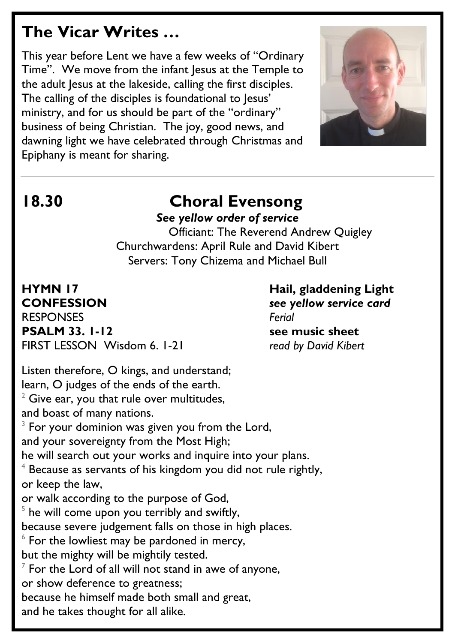## **The Vicar Writes …**

This year before Lent we have a few weeks of "Ordinary Time". We move from the infant Jesus at the Temple to the adult Jesus at the lakeside, calling the first disciples. The calling of the disciples is foundational to Jesus' ministry, and for us should be part of the "ordinary" business of being Christian. The joy, good news, and dawning light we have celebrated through Christmas and Epiphany is meant for sharing.



# **18.30 Choral Evensong**

*See yellow order of service*

 Officiant: The Reverend Andrew Quigley Churchwardens: April Rule and David Kibert Servers: Tony Chizema and Michael Bull

**CONFESSION** *see yellow service card* RESPONSES *Ferial* **PSALM** 33. 1-12 see music sheet FIRST LESSON Wisdom 6. 1-21 *read by David Kibert*

**HYMN 17 Hail, gladdening Light**

Listen therefore, O kings, and understand; learn, O judges of the ends of the earth.  $2$  Give ear, you that rule over multitudes, and boast of many nations.  $3$  For your dominion was given you from the Lord, and your sovereignty from the Most High; he will search out your works and inquire into your plans.  $4$  Because as servants of his kingdom you did not rule rightly, or keep the law, or walk according to the purpose of God,  $5$  he will come upon you terribly and swiftly, because severe judgement falls on those in high places.  $6$  For the lowliest may be pardoned in mercy, but the mighty will be mightily tested.  $^7$  For the Lord of all will not stand in awe of anyone, or show deference to greatness; because he himself made both small and great, and he takes thought for all alike.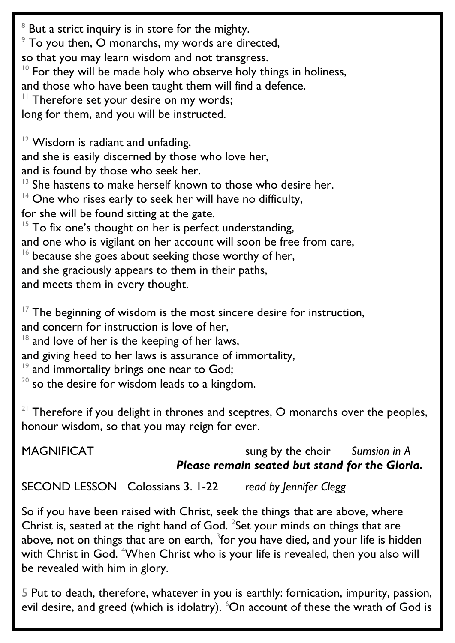$8$  But a strict inquiry is in store for the mighty.  $9$  To you then, O monarchs, my words are directed, so that you may learn wisdom and not transgress.  $10$  For they will be made holy who observe holy things in holiness, and those who have been taught them will find a defence. <sup>11</sup> Therefore set your desire on my words; long for them, and you will be instructed.  $12$  Wisdom is radiant and unfading, and she is easily discerned by those who love her, and is found by those who seek her. She hastens to make herself known to those who desire her.  $14$  One who rises early to seek her will have no difficulty, for she will be found sitting at the gate.  $15$  To fix one's thought on her is perfect understanding, and one who is vigilant on her account will soon be free from care,  $16$  because she goes about seeking those worthy of her, and she graciously appears to them in their paths, and meets them in every thought.  $17$  The beginning of wisdom is the most sincere desire for instruction,

and concern for instruction is love of her,

 $18$  and love of her is the keeping of her laws,

and giving heed to her laws is assurance of immortality,

 $19$  and immortality brings one near to God;

 $20$  so the desire for wisdom leads to a kingdom.

 $21$  Therefore if you delight in thrones and sceptres, O monarchs over the peoples, honour wisdom, so that you may reign for ever.

MAGNIFICATsung by the choir *Sumsion in A Please remain seated but stand for the Gloria.*

SECOND LESSON Colossians 3. 1-22 *read by Jennifer Clegg*

So if you have been raised with Christ, seek the things that are above, where Christ is, seated at the right hand of God.  $^{2}$ Set your minds on things that are above, not on things that are on earth,  $^3$ for you have died, and your life is hidden with Christ in God. <sup>4</sup>When Christ who is your life is revealed, then you also will be revealed with him in glory.

5 Put to death, therefore, whatever in you is earthly: fornication, impurity, passion, evil desire, and greed (which is idolatry).  $6\text{O}$ n account of these the wrath of God is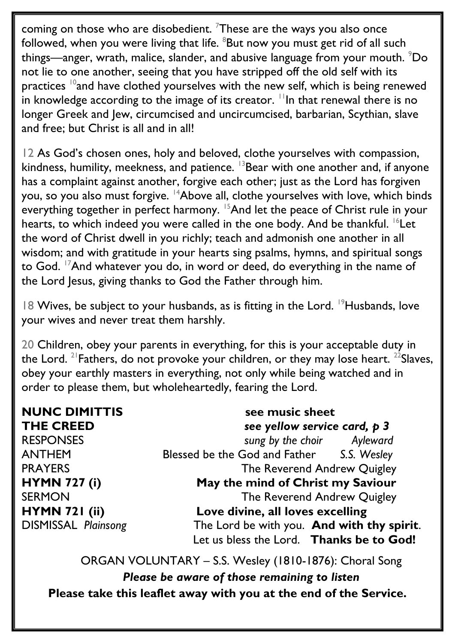coming on those who are disobedient. <sup>7</sup>These are the ways you also once followed, when you were living that life. <sup>8</sup>But now you must get rid of all such things—anger, wrath, malice, slander, and abusive language from your mouth. <sup>9</sup>Do not lie to one another, seeing that you have stripped off the old self with its practices  $10$ and have clothed yourselves with the new self, which is being renewed in knowledge according to the image of its creator.  $\frac{1}{1}$ In that renewal there is no longer Greek and Jew, circumcised and uncircumcised, barbarian, Scythian, slave and free; but Christ is all and in all!

12 As God's chosen ones, holy and beloved, clothe yourselves with compassion, kindness, humility, meekness, and patience.  $13$ Bear with one another and, if anyone has a complaint against another, forgive each other; just as the Lord has forgiven you, so you also must forgive. <sup>14</sup>Above all, clothe yourselves with love, which binds everything together in perfect harmony. <sup>15</sup>And let the peace of Christ rule in your hearts, to which indeed you were called in the one body. And be thankful. <sup>16</sup>Let the word of Christ dwell in you richly; teach and admonish one another in all wisdom; and with gratitude in your hearts sing psalms, hymns, and spiritual songs to God. <sup>17</sup>And whatever you do, in word or deed, do everything in the name of the Lord Jesus, giving thanks to God the Father through him.

18 Wives, be subject to your husbands, as is fitting in the Lord.  $19$ Husbands, love your wives and never treat them harshly.

20 Children, obey your parents in everything, for this is your acceptable duty in the Lord. <sup>21</sup> Fathers, do not provoke your children, or they may lose heart. <sup>22</sup> Slaves, obey your earthly masters in everything, not only while being watched and in order to please them, but wholeheartedly, fearing the Lord.

**NUNC DIMITTIS** see music sheet **THE CREED** *see yellow service card, p 3* RESPONSES *sung by the choir Ayleward* ANTHEM Blessed be the God and Father *S.S. Wesley* PRAYERS The Reverend Andrew Quigley **HYMN 727 (i) May the mind of Christ my Saviour** SERMON SERMON SERMON **HYMN 721 (ii) Love divine, all loves excelling** DISMISSAL *Plainsong* The Lord be with you. **And with thy spirit**. Let us bless the Lord. **Thanks be to God!**

ORGAN VOLUNTARY – S.S. Wesley (1810-1876): Choral Song *Please be aware of those remaining to listen* **Please take this leaflet away with you at the end of the Service.**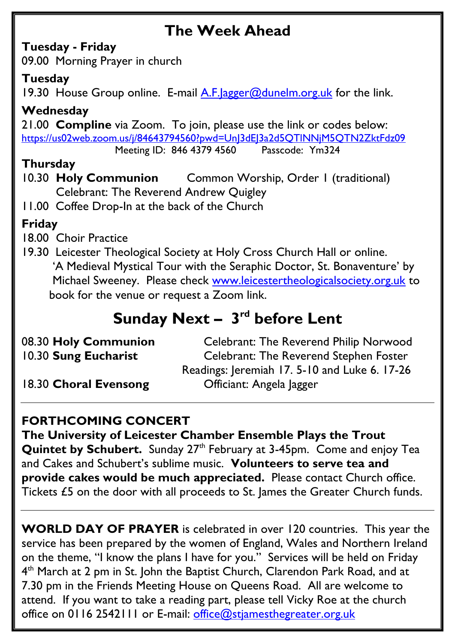## **The Week Ahead**

### **Tuesday - Friday**

09.00 Morning Prayer in church

### **Tuesday**

19.30 House Group online. E-mail A.F. agger@dunelm.org.uk for the link.

### **Wednesday**

21.00 **Compline** via Zoom. To join, please use the link or codes below: <https://us02web.zoom.us/j/84643794560?pwd=UnJ3dEJ3a2d5QTlNNjM5QTN2ZktFdz09>

Meeting ID: 846 4379 4560 Passcode: Ym324

### **Thursday**

10.30 **Holy Communion** Common Worship, Order 1 (traditional) Celebrant: The Reverend Andrew Quigley

11.00 Coffee Drop-In at the back of the Church

### **Friday**

- 18.00 Choir Practice
- 19.30 Leicester Theological Society at Holy Cross Church Hall or online. 'A Medieval Mystical Tour with the Seraphic Doctor, St. Bonaventure' by Michael Sweeney. Please check [www.leicestertheologicalsociety.org.uk](http://www.leicestertheologicalsociety.org.uk/) to book for the venue or request a Zoom link.

# **Sunday Next - 3<sup>rd</sup> before Lent**

| 08.30 Holy Communion  | Celebrant: The Reverend Philip Norwood        |
|-----------------------|-----------------------------------------------|
| 10.30 Sung Eucharist  | <b>Celebrant: The Reverend Stephen Foster</b> |
|                       | Readings: Jeremiah 17.5-10 and Luke 6.17-26   |
| 18.30 Choral Evensong | Officiant: Angela Jagger                      |

### **FORTHCOMING CONCERT**

**The University of Leicester Chamber Ensemble Plays the Trout Quintet by Schubert.** Sunday 27<sup>th</sup> February at 3-45pm. Come and enjoy Tea and Cakes and Schubert's sublime music. **Volunteers to serve tea and provide cakes would be much appreciated.** Please contact Church office. Tickets £5 on the door with all proceeds to St. James the Greater Church funds.

**WORLD DAY OF PRAYER** is celebrated in over 120 countries. This year the service has been prepared by the women of England, Wales and Northern Ireland on the theme, "I know the plans I have for you." Services will be held on Friday 4<sup>th</sup> March at 2 pm in St. John the Baptist Church, Clarendon Park Road, and at 7.30 pm in the Friends Meeting House on Queens Road. All are welcome to attend. If you want to take a reading part, please tell Vicky Roe at the church office on 0116 2542111 or E-mail: office@stiamesthegreater.org.uk